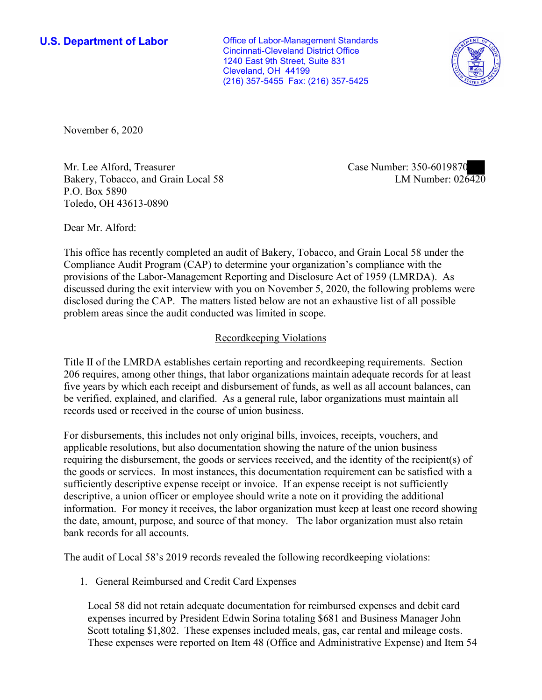**U.S. Department of Labor Conservative Conservative Conservative Conservative U.S.** Department of Labor Cincinnati-Cleveland District Office 1240 East 9th Street, Suite 831 Cleveland, OH 44199 (216) 357-5455 Fax: (216) 357-5425



November 6, 2020

Mr. Lee Alford, Treasurer Bakery, Tobacco, and Grain Local 58 P.O. Box 5890 Toledo, OH 43613-0890

Case Number: 350-6019870 LM Number: 026420

Dear Mr. Alford:

This office has recently completed an audit of Bakery, Tobacco, and Grain Local 58 under the Compliance Audit Program (CAP) to determine your organization's compliance with the provisions of the Labor-Management Reporting and Disclosure Act of 1959 (LMRDA). As discussed during the exit interview with you on November 5, 2020, the following problems were disclosed during the CAP. The matters listed below are not an exhaustive list of all possible problem areas since the audit conducted was limited in scope.

## Recordkeeping Violations

Title II of the LMRDA establishes certain reporting and recordkeeping requirements. Section 206 requires, among other things, that labor organizations maintain adequate records for at least five years by which each receipt and disbursement of funds, as well as all account balances, can be verified, explained, and clarified. As a general rule, labor organizations must maintain all records used or received in the course of union business.

For disbursements, this includes not only original bills, invoices, receipts, vouchers, and applicable resolutions, but also documentation showing the nature of the union business requiring the disbursement, the goods or services received, and the identity of the recipient(s) of the goods or services. In most instances, this documentation requirement can be satisfied with a sufficiently descriptive expense receipt or invoice. If an expense receipt is not sufficiently descriptive, a union officer or employee should write a note on it providing the additional information. For money it receives, the labor organization must keep at least one record showing the date, amount, purpose, and source of that money. The labor organization must also retain bank records for all accounts.

The audit of Local 58's 2019 records revealed the following recordkeeping violations:

1. General Reimbursed and Credit Card Expenses

Local 58 did not retain adequate documentation for reimbursed expenses and debit card expenses incurred by President Edwin Sorina totaling \$681 and Business Manager John Scott totaling \$1,802. These expenses included meals, gas, car rental and mileage costs. These expenses were reported on Item 48 (Office and Administrative Expense) and Item 54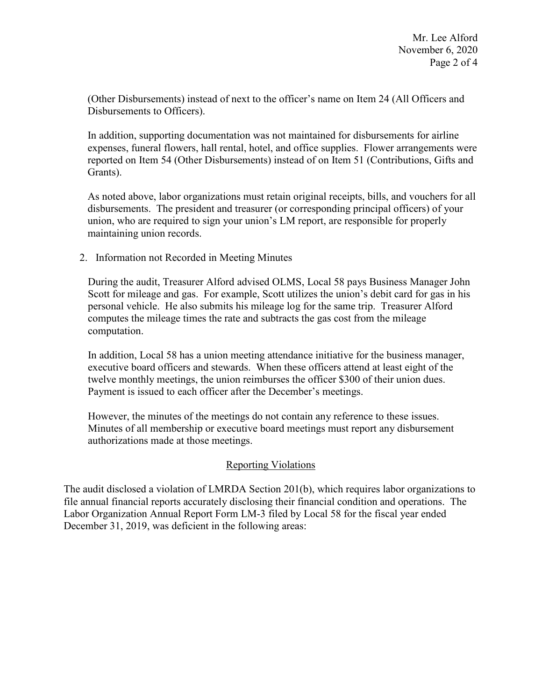(Other Disbursements) instead of next to the officer's name on Item 24 (All Officers and Disbursements to Officers).

In addition, supporting documentation was not maintained for disbursements for airline expenses, funeral flowers, hall rental, hotel, and office supplies. Flower arrangements were reported on Item 54 (Other Disbursements) instead of on Item 51 (Contributions, Gifts and Grants).

As noted above, labor organizations must retain original receipts, bills, and vouchers for all disbursements. The president and treasurer (or corresponding principal officers) of your union, who are required to sign your union's LM report, are responsible for properly maintaining union records.

2. Information not Recorded in Meeting Minutes

During the audit, Treasurer Alford advised OLMS, Local 58 pays Business Manager John Scott for mileage and gas. For example, Scott utilizes the union's debit card for gas in his personal vehicle. He also submits his mileage log for the same trip. Treasurer Alford computes the mileage times the rate and subtracts the gas cost from the mileage computation.

In addition, Local 58 has a union meeting attendance initiative for the business manager, executive board officers and stewards. When these officers attend at least eight of the twelve monthly meetings, the union reimburses the officer \$300 of their union dues. Payment is issued to each officer after the December's meetings.

However, the minutes of the meetings do not contain any reference to these issues. Minutes of all membership or executive board meetings must report any disbursement authorizations made at those meetings.

## Reporting Violations

The audit disclosed a violation of LMRDA Section 201(b), which requires labor organizations to file annual financial reports accurately disclosing their financial condition and operations. The Labor Organization Annual Report Form LM-3 filed by Local 58 for the fiscal year ended December 31, 2019, was deficient in the following areas: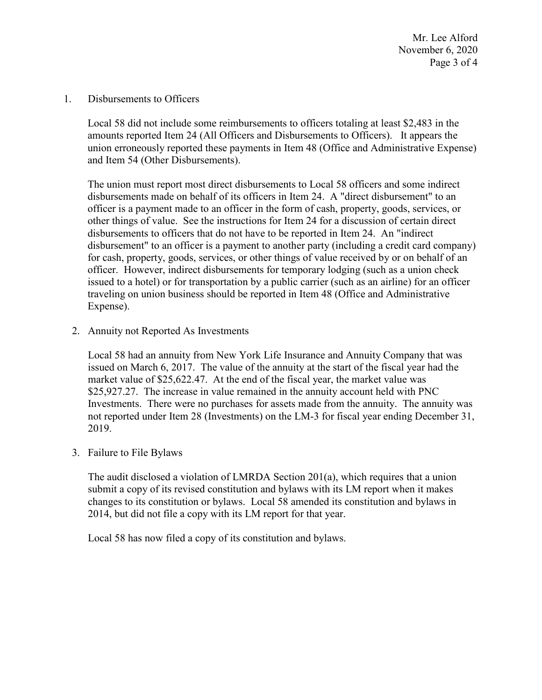Mr. Lee Alford November 6, 2020 Page 3 of 4

1. Disbursements to Officers

Local 58 did not include some reimbursements to officers totaling at least \$2,483 in the amounts reported Item 24 (All Officers and Disbursements to Officers). It appears the union erroneously reported these payments in Item 48 (Office and Administrative Expense) and Item 54 (Other Disbursements).

The union must report most direct disbursements to Local 58 officers and some indirect disbursements made on behalf of its officers in Item 24. A "direct disbursement" to an officer is a payment made to an officer in the form of cash, property, goods, services, or other things of value. See the instructions for Item 24 for a discussion of certain direct disbursements to officers that do not have to be reported in Item 24. An "indirect disbursement" to an officer is a payment to another party (including a credit card company) for cash, property, goods, services, or other things of value received by or on behalf of an officer. However, indirect disbursements for temporary lodging (such as a union check issued to a hotel) or for transportation by a public carrier (such as an airline) for an officer traveling on union business should be reported in Item 48 (Office and Administrative Expense).

2. Annuity not Reported As Investments

Local 58 had an annuity from New York Life Insurance and Annuity Company that was issued on March 6, 2017. The value of the annuity at the start of the fiscal year had the market value of \$25,622.47. At the end of the fiscal year, the market value was \$25,927.27. The increase in value remained in the annuity account held with PNC Investments. There were no purchases for assets made from the annuity. The annuity was not reported under Item 28 (Investments) on the LM-3 for fiscal year ending December 31, 2019.

3. Failure to File Bylaws

The audit disclosed a violation of LMRDA Section 201(a), which requires that a union submit a copy of its revised constitution and bylaws with its LM report when it makes changes to its constitution or bylaws. Local 58 amended its constitution and bylaws in 2014, but did not file a copy with its LM report for that year.

Local 58 has now filed a copy of its constitution and bylaws.